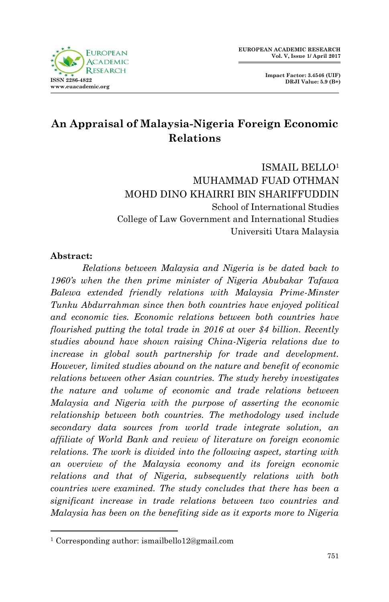



# **An Appraisal of Malaysia-Nigeria Foreign Economic Relations**

ISMAIL BELLO<sup>1</sup> MUHAMMAD FUAD OTHMAN MOHD DINO KHAIRRI BIN SHARIFFUDDIN School of International Studies College of Law Government and International Studies Universiti Utara Malaysia

### **Abstract:**

1

*Relations between Malaysia and Nigeria is be dated back to 1960's when the then prime minister of Nigeria Abubakar Tafawa Balewa extended friendly relations with Malaysia Prime-Minster Tunku Abdurrahman since then both countries have enjoyed political and economic ties. Economic relations between both countries have flourished putting the total trade in 2016 at over \$4 billion. Recently studies abound have shown raising China-Nigeria relations due to increase in global south partnership for trade and development. However, limited studies abound on the nature and benefit of economic relations between other Asian countries. The study hereby investigates the nature and volume of economic and trade relations between Malaysia and Nigeria with the purpose of asserting the economic relationship between both countries. The methodology used include secondary data sources from world trade integrate solution, an affiliate of World Bank and review of literature on foreign economic relations. The work is divided into the following aspect, starting with an overview of the Malaysia economy and its foreign economic relations and that of Nigeria, subsequently relations with both countries were examined. The study concludes that there has been a significant increase in trade relations between two countries and Malaysia has been on the benefiting side as it exports more to Nigeria* 

<sup>1</sup> Corresponding author: ismailbello12@gmail.com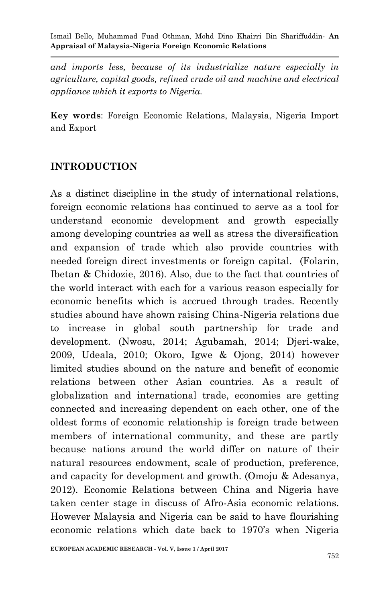*and imports less, because of its industrialize nature especially in agriculture, capital goods, refined crude oil and machine and electrical appliance which it exports to Nigeria.* 

**Key words**: Foreign Economic Relations, Malaysia, Nigeria Import and Export

### **INTRODUCTION**

As a distinct discipline in the study of international relations, foreign economic relations has continued to serve as a tool for understand economic development and growth especially among developing countries as well as stress the diversification and expansion of trade which also provide countries with needed foreign direct investments or foreign capital. (Folarin, Ibetan & Chidozie, 2016). Also, due to the fact that countries of the world interact with each for a various reason especially for economic benefits which is accrued through trades. Recently studies abound have shown raising China-Nigeria relations due to increase in global south partnership for trade and development. (Nwosu, 2014; Agubamah, 2014; Djeri-wake, 2009, Udeala, 2010; Okoro, Igwe & Ojong, 2014) however limited studies abound on the nature and benefit of economic relations between other Asian countries. As a result of globalization and international trade, economies are getting connected and increasing dependent on each other, one of the oldest forms of economic relationship is foreign trade between members of international community, and these are partly because nations around the world differ on nature of their natural resources endowment, scale of production, preference, and capacity for development and growth. (Omoju & Adesanya, 2012). Economic Relations between China and Nigeria have taken center stage in discuss of Afro-Asia economic relations. However Malaysia and Nigeria can be said to have flourishing economic relations which date back to 1970's when Nigeria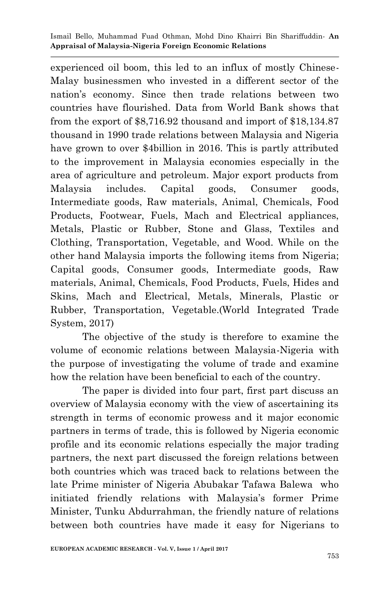experienced oil boom, this led to an influx of mostly Chinese-Malay businessmen who invested in a different sector of the nation's economy. Since then trade relations between two countries have flourished. Data from World Bank shows that from the export of \$8,716.92 thousand and import of \$18,134.87 thousand in 1990 trade relations between Malaysia and Nigeria have grown to over \$4billion in 2016. This is partly attributed to the improvement in Malaysia economies especially in the area of agriculture and petroleum. Major export products from Malaysia includes. Capital goods, Consumer goods, Intermediate goods, Raw materials, Animal, Chemicals, Food Products, Footwear, Fuels, Mach and Electrical appliances, Metals, Plastic or Rubber, Stone and Glass, Textiles and Clothing, Transportation, Vegetable, and Wood. While on the other hand Malaysia imports the following items from Nigeria; Capital goods, Consumer goods, Intermediate goods, Raw materials, Animal, Chemicals, Food Products, Fuels, Hides and Skins, Mach and Electrical, Metals, Minerals, Plastic or Rubber, Transportation, Vegetable.(World Integrated Trade System, 2017)

The objective of the study is therefore to examine the volume of economic relations between Malaysia-Nigeria with the purpose of investigating the volume of trade and examine how the relation have been beneficial to each of the country.

The paper is divided into four part, first part discuss an overview of Malaysia economy with the view of ascertaining its strength in terms of economic prowess and it major economic partners in terms of trade, this is followed by Nigeria economic profile and its economic relations especially the major trading partners, the next part discussed the foreign relations between both countries which was traced back to relations between the late Prime minister of Nigeria Abubakar Tafawa Balewa who initiated friendly relations with Malaysia's former Prime Minister, Tunku Abdurrahman, the friendly nature of relations between both countries have made it easy for Nigerians to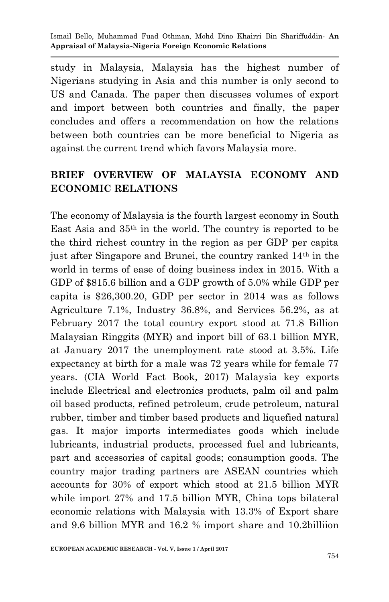study in Malaysia, Malaysia has the highest number of Nigerians studying in Asia and this number is only second to US and Canada. The paper then discusses volumes of export and import between both countries and finally, the paper concludes and offers a recommendation on how the relations between both countries can be more beneficial to Nigeria as against the current trend which favors Malaysia more.

## **BRIEF OVERVIEW OF MALAYSIA ECONOMY AND ECONOMIC RELATIONS**

The economy of Malaysia is the fourth largest economy in South East Asia and 35th in the world. The country is reported to be the third richest country in the region as per GDP per capita just after Singapore and Brunei, the country ranked 14th in the world in terms of ease of doing business index in 2015. With a GDP of \$815.6 billion and a GDP growth of 5.0% while GDP per capita is \$26,300.20, GDP per sector in 2014 was as follows Agriculture 7.1%, Industry 36.8%, and Services 56.2%, as at February 2017 the total country export stood at 71.8 Billion Malaysian Ringgits (MYR) and inport bill of 63.1 billion MYR, at January 2017 the unemployment rate stood at 3.5%. Life expectancy at birth for a male was 72 years while for female 77 years. (CIA World Fact Book, 2017) Malaysia key exports include Electrical and electronics products, palm oil and palm oil based products, refined petroleum, crude petroleum, natural rubber, timber and timber based products and liquefied natural gas. It major imports intermediates goods which include lubricants, industrial products, processed fuel and lubricants, part and accessories of capital goods; consumption goods. The country major trading partners are ASEAN countries which accounts for 30% of export which stood at 21.5 billion MYR while import 27% and 17.5 billion MYR, China tops bilateral economic relations with Malaysia with 13.3% of Export share and 9.6 billion MYR and 16.2 % import share and 10.2billiion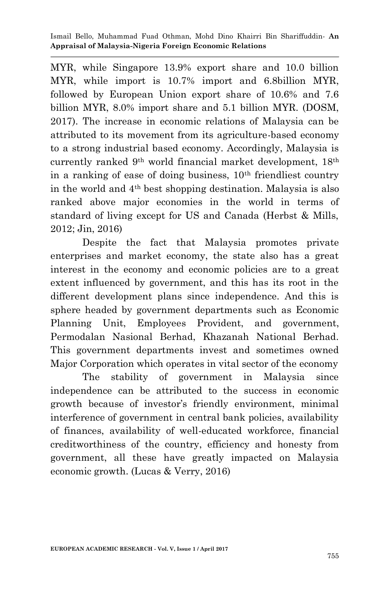MYR, while Singapore 13.9% export share and 10.0 billion MYR, while import is 10.7% import and 6.8billion MYR, followed by European Union export share of 10.6% and 7.6 billion MYR, 8.0% import share and 5.1 billion MYR. (DOSM, 2017). The increase in economic relations of Malaysia can be attributed to its movement from its agriculture-based economy to a strong industrial based economy. Accordingly, Malaysia is currently ranked 9th world financial market development, 18th in a ranking of ease of doing business,  $10<sup>th</sup>$  friendliest country in the world and 4th best shopping destination. Malaysia is also ranked above major economies in the world in terms of standard of living except for US and Canada (Herbst & Mills, 2012; Jin, 2016)

Despite the fact that Malaysia promotes private enterprises and market economy, the state also has a great interest in the economy and economic policies are to a great extent influenced by government, and this has its root in the different development plans since independence. And this is sphere headed by government departments such as Economic Planning Unit, Employees Provident, and government, Permodalan Nasional Berhad, Khazanah National Berhad. This government departments invest and sometimes owned Major Corporation which operates in vital sector of the economy

The stability of government in Malaysia since independence can be attributed to the success in economic growth because of investor's friendly environment, minimal interference of government in central bank policies, availability of finances, availability of well-educated workforce, financial creditworthiness of the country, efficiency and honesty from government, all these have greatly impacted on Malaysia economic growth. (Lucas & Verry, 2016)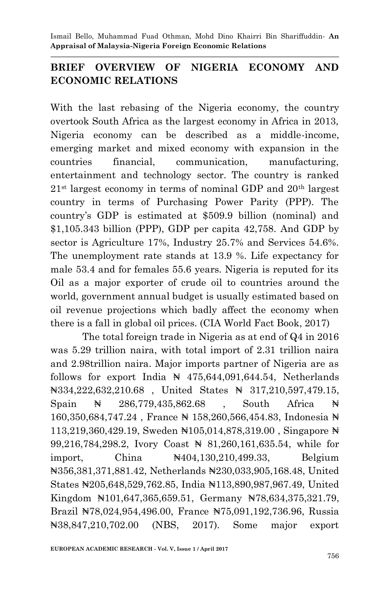## **BRIEF OVERVIEW OF NIGERIA ECONOMY AND ECONOMIC RELATIONS**

With the last rebasing of the Nigeria economy, the country overtook South Africa as the largest economy in Africa in 2013, Nigeria economy can be described as a middle-income, emerging market and mixed economy with expansion in the countries financial, communication, manufacturing, entertainment and technology sector. The country is ranked  $21<sup>st</sup>$  largest economy in terms of nominal GDP and  $20<sup>th</sup>$  largest country in terms of Purchasing Power Parity (PPP). The country's GDP is estimated at \$509.9 billion (nominal) and \$1,105.343 billion (PPP), GDP per capita 42,758. And GDP by sector is Agriculture 17%, Industry 25.7% and Services 54.6%. The unemployment rate stands at 13.9 %. Life expectancy for male 53.4 and for females 55.6 years. Nigeria is reputed for its Oil as a major exporter of crude oil to countries around the world, government annual budget is usually estimated based on oil revenue projections which badly affect the economy when there is a fall in global oil prices. (CIA World Fact Book, 2017)

The total foreign trade in Nigeria as at end of Q4 in 2016 was 5.29 trillion naira, with total import of 2.31 trillion naira and 2.98trillion naira. Major imports partner of Nigeria are as follows for export India  $\mathbb{N}$  475,644,091,644.54, Netherlands ₦334,222,632,210.68 , United States ₦ 317,210,597,479.15, Spain  $\forall$  286,779,435,862.68 , South Africa  $\forall$ 160,350,684,747.24 , France ₦ 158,260,566,454.83, Indonesia ₦ 113,219,360,429.19, Sweden ₦105,014,878,319.00 , Singapore ₦ 99,216,784,298.2, Ivory Coast ₦ 81,260,161,635.54, while for import, China  $\mathbb{N}404,130,210,499,33$ , Belgium ₦356,381,371,881.42, Netherlands ₦230,033,905,168.48, United States ₦205,648,529,762.85, India ₦113,890,987,967.49, United Kingdom ₦101,647,365,659.51, Germany ₦78,634,375,321.79, Brazil ₦78,024,954,496.00, France ₦75,091,192,736.96, Russia ₦38,847,210,702.00 (NBS, 2017). Some major export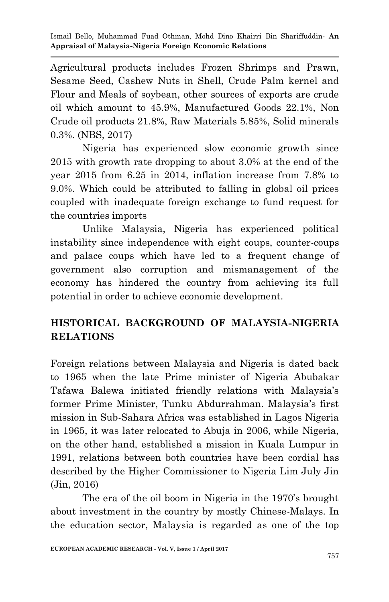Agricultural products includes Frozen Shrimps and Prawn, Sesame Seed, Cashew Nuts in Shell, Crude Palm kernel and Flour and Meals of soybean, other sources of exports are crude oil which amount to 45.9%, Manufactured Goods 22.1%, Non Crude oil products 21.8%, Raw Materials 5.85%, Solid minerals 0.3%. (NBS, 2017)

Nigeria has experienced slow economic growth since 2015 with growth rate dropping to about 3.0% at the end of the year 2015 from 6.25 in 2014, inflation increase from 7.8% to 9.0%. Which could be attributed to falling in global oil prices coupled with inadequate foreign exchange to fund request for the countries imports

Unlike Malaysia, Nigeria has experienced political instability since independence with eight coups, counter-coups and palace coups which have led to a frequent change of government also corruption and mismanagement of the economy has hindered the country from achieving its full potential in order to achieve economic development.

## **HISTORICAL BACKGROUND OF MALAYSIA-NIGERIA RELATIONS**

Foreign relations between Malaysia and Nigeria is dated back to 1965 when the late Prime minister of Nigeria Abubakar Tafawa Balewa initiated friendly relations with Malaysia's former Prime Minister, Tunku Abdurrahman. Malaysia's first mission in Sub-Sahara Africa was established in Lagos Nigeria in 1965, it was later relocated to Abuja in 2006, while Nigeria, on the other hand, established a mission in Kuala Lumpur in 1991, relations between both countries have been cordial has described by the Higher Commissioner to Nigeria Lim July Jin (Jin, 2016)

The era of the oil boom in Nigeria in the 1970's brought about investment in the country by mostly Chinese-Malays. In the education sector, Malaysia is regarded as one of the top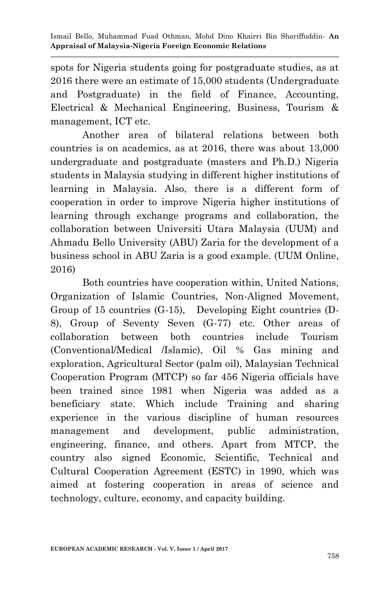spots for Nigeria students going for postgraduate studies, as at 2016 there were an estimate of 15,000 students (Undergraduate and Postgraduate) in the field of Finance, Accounting, Electrical & Mechanical Engineering, Business, Tourism & management, ICT etc.

Another area of bilateral relations between both countries is on academics, as at 2016, there was about 13,000 undergraduate and postgraduate (masters and Ph.D.) Nigeria students in Malaysia studying in different higher institutions of learning in Malaysia. Also, there is a different form of cooperation in order to improve Nigeria higher institutions of learning through exchange programs and collaboration, the collaboration between Universiti Utara Malaysia (UUM) and Ahmadu Bello University (ABU) Zaria for the development of a business school in ABU Zaria is a good example. (UUM Online, 2016)

Both countries have cooperation within, United Nations, Organization of Islamic Countries, Non-Aligned Movement, Group of 15 countries (G-15), Developing Eight countries (D-8), Group of Seventy Seven (G-77) etc. Other areas of collaboration between both countries include Tourism (Conventional/Medical /Islamic), Oil % Gas mining and exploration, Agricultural Sector (palm oil), Malaysian Technical Cooperation Program (MTCP) so far 456 Nigeria officials have been trained since 1981 when Nigeria was added as a beneficiary state. Which include Training and sharing experience in the various discipline of human resources management and development, public administration, engineering, finance, and others. Apart from MTCP, the country also signed Economic, Scientific, Technical and Cultural Cooperation Agreement (ESTC) in 1990, which was aimed at fostering cooperation in areas of science and technology, culture, economy, and capacity building.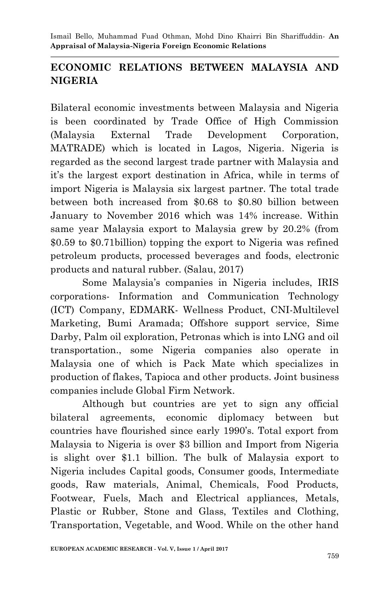## **ECONOMIC RELATIONS BETWEEN MALAYSIA AND NIGERIA**

Bilateral economic investments between Malaysia and Nigeria is been coordinated by Trade Office of High Commission (Malaysia External Trade Development Corporation, MATRADE) which is located in Lagos, Nigeria. Nigeria is regarded as the second largest trade partner with Malaysia and it's the largest export destination in Africa, while in terms of import Nigeria is Malaysia six largest partner. The total trade between both increased from \$0.68 to \$0.80 billion between January to November 2016 which was 14% increase. Within same year Malaysia export to Malaysia grew by 20.2% (from \$0.59 to \$0.71billion) topping the export to Nigeria was refined petroleum products, processed beverages and foods, electronic products and natural rubber. (Salau, 2017)

Some Malaysia's companies in Nigeria includes, IRIS corporations- Information and Communication Technology (ICT) Company, EDMARK- Wellness Product, CNI-Multilevel Marketing, Bumi Aramada; Offshore support service, Sime Darby, Palm oil exploration, Petronas which is into LNG and oil transportation., some Nigeria companies also operate in Malaysia one of which is Pack Mate which specializes in production of flakes, Tapioca and other products. Joint business companies include Global Firm Network.

Although but countries are yet to sign any official bilateral agreements, economic diplomacy between but countries have flourished since early 1990's. Total export from Malaysia to Nigeria is over \$3 billion and Import from Nigeria is slight over \$1.1 billion. The bulk of Malaysia export to Nigeria includes Capital goods, Consumer goods, Intermediate goods, Raw materials, Animal, Chemicals, Food Products, Footwear, Fuels, Mach and Electrical appliances, Metals, Plastic or Rubber, Stone and Glass, Textiles and Clothing, Transportation, Vegetable, and Wood. While on the other hand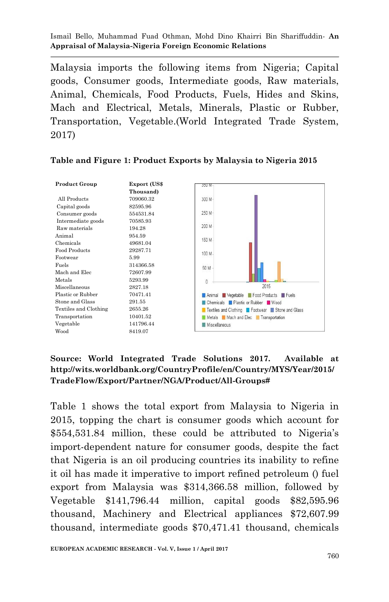Malaysia imports the following items from Nigeria; Capital goods, Consumer goods, Intermediate goods, Raw materials, Animal, Chemicals, Food Products, Fuels, Hides and Skins, Mach and Electrical, Metals, Minerals, Plastic or Rubber, Transportation, Vegetable.(World Integrated Trade System, 2017)

| <b>Product Group</b>  | Export (US\$ | J5U M                                          |
|-----------------------|--------------|------------------------------------------------|
|                       | Thousand)    |                                                |
| All Products          | 709060.32    | 300 M-                                         |
| Capital goods         | 82595.96     |                                                |
| Consumer goods        | 554531.84    | 250 M                                          |
| Intermediate goods    | 70585.93     |                                                |
| Raw materials         | 194.28       | 200 M-                                         |
| Animal                | 954.59       | 150 M-                                         |
| Chemicals             | 49681.04     |                                                |
| Food Products         | 29287.71     | 100 M                                          |
| Footwear              | 5.99         |                                                |
| Fuels                 | 314366.58    | 50 M                                           |
| Mach and Elec         | 72607.99     |                                                |
| Metals                | 5293.99      | $\theta$                                       |
| Miscellaneous         | 2827.18      | 2015                                           |
| Plastic or Rubber     | 70471.41     | Animal Vegetable Food Products Fuels           |
| Stone and Glass       | 291.55       | <b>Chemicals</b> Plastic or Rubber Vood        |
| Textiles and Clothing | 2655.26      | Textiles and Clothing Footwear Stone and Glass |
| Transportation        | 10401.52     | Metals Mach and Elec Transportation            |
| Vegetable             | 141796.44    | <b>Miscellaneous</b>                           |
| Wood                  | 8419.07      |                                                |

#### **Table and Figure 1: Product Exports by Malaysia to Nigeria 2015**

#### **Source: World Integrated Trade Solutions 2017. Available at http://wits.worldbank.org/CountryProfile/en/Country/MYS/Year/2015/ TradeFlow/Export/Partner/NGA/Product/All-Groups#**

Table 1 shows the total export from Malaysia to Nigeria in 2015, topping the chart is consumer goods which account for \$554,531.84 million, these could be attributed to Nigeria's import-dependent nature for consumer goods, despite the fact that Nigeria is an oil producing countries its inability to refine it oil has made it imperative to import refined petroleum () fuel export from Malaysia was \$314,366.58 million, followed by Vegetable \$141,796.44 million, capital goods \$82,595.96 thousand, Machinery and Electrical appliances \$72,607.99 thousand, intermediate goods \$70,471.41 thousand, chemicals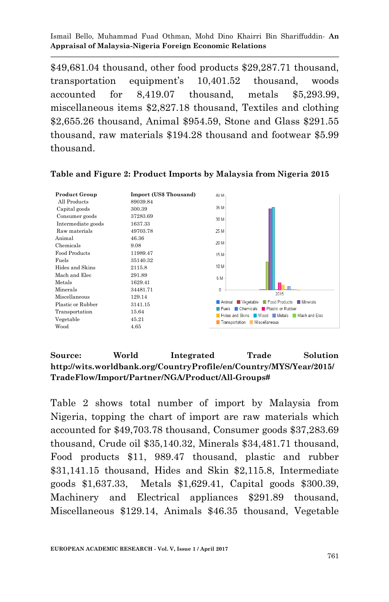\$49,681.04 thousand, other food products \$29,287.71 thousand, transportation equipment's 10,401.52 thousand, woods accounted for 8,419.07 thousand, metals \$5,293.99, miscellaneous items \$2,827.18 thousand, Textiles and clothing \$2,655.26 thousand, Animal \$954.59, Stone and Glass \$291.55 thousand, raw materials \$194.28 thousand and footwear \$5.99 thousand.



#### **Table and Figure 2: Product Imports by Malaysia from Nigeria 2015**

#### **Source: World Integrated Trade Solution http://wits.worldbank.org/CountryProfile/en/Country/MYS/Year/2015/ TradeFlow/Import/Partner/NGA/Product/All-Groups#**

Table 2 shows total number of import by Malaysia from Nigeria, topping the chart of import are raw materials which accounted for \$49,703.78 thousand, Consumer goods \$37,283.69 thousand, Crude oil \$35,140.32, Minerals \$34,481.71 thousand, Food products \$11, 989.47 thousand, plastic and rubber \$31,141.15 thousand, Hides and Skin \$2,115.8, Intermediate goods \$1,637.33, Metals \$1,629.41, Capital goods \$300.39, Machinery and Electrical appliances \$291.89 thousand, Miscellaneous \$129.14, Animals \$46.35 thousand, Vegetable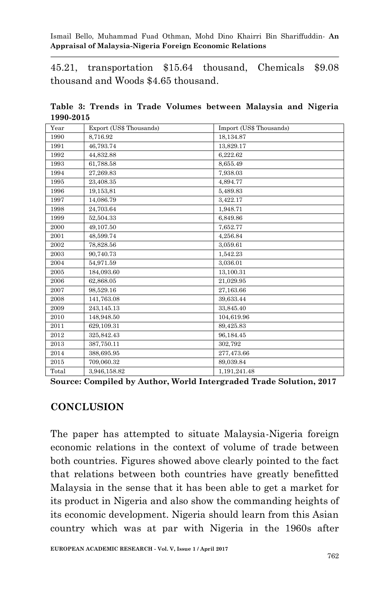45.21, transportation \$15.64 thousand, Chemicals \$9.08 thousand and Woods \$4.65 thousand.

**Table 3: Trends in Trade Volumes between Malaysia and Nigeria 1990-2015**

| Year  | Export (US\$ Thousands) | Import (US\$ Thousands) |
|-------|-------------------------|-------------------------|
| 1990  | 8,716.92                | 18,134.87               |
| 1991  | 46,793.74               | 13,829.17               |
| 1992  | 44,832.88               | 6,222.62                |
| 1993  | 61,788.58               | 8,655.49                |
| 1994  | 27,269.83               | 7,938.03                |
| 1995  | 23,408.35               | 4,894.77                |
| 1996  | 19,153,81               | 5,489.83                |
| 1997  | 14,086.79               | 3,422.17                |
| 1998  | 24,703.64               | 1,948.71                |
| 1999  | 52,504.33               | 6,849.86                |
| 2000  | 49,107.50               | 7,652.77                |
| 2001  | 48,599.74               | 4,256.84                |
| 2002  | 78,828.56               | 3,059.61                |
| 2003  | 90,740.73               | 1,542.23                |
| 2004  | 54,971.59               | 3,036.01                |
| 2005  | 184,093.60              | 13,100.31               |
| 2006  | 62,868.05               | 21,029.95               |
| 2007  | 98.529.16               | 27,163.66               |
| 2008  | 141,763.08              | 39,633.44               |
| 2009  | 243,145.13              | 33,845.40               |
| 2010  | 148,948.50              | 104,619.96              |
| 2011  | 629,109.31              | 89,425.83               |
| 2012  | 325,842.43              | 96,184.45               |
| 2013  | 387,750.11              | 302,792                 |
| 2014  | 388,695.95              | 277,473.66              |
| 2015  | 709,060.32              | 89,039.84               |
| Total | 3,946,158.82            | 1,191,241.48            |

**Source: Compiled by Author, World Intergraded Trade Solution, 2017** 

### **CONCLUSION**

The paper has attempted to situate Malaysia-Nigeria foreign economic relations in the context of volume of trade between both countries. Figures showed above clearly pointed to the fact that relations between both countries have greatly benefitted Malaysia in the sense that it has been able to get a market for its product in Nigeria and also show the commanding heights of its economic development. Nigeria should learn from this Asian country which was at par with Nigeria in the 1960s after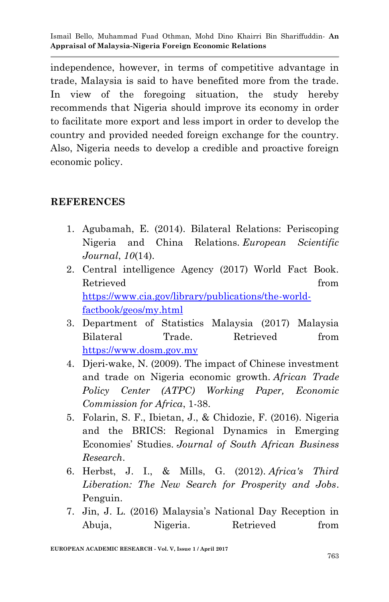independence, however, in terms of competitive advantage in trade, Malaysia is said to have benefited more from the trade. In view of the foregoing situation, the study hereby recommends that Nigeria should improve its economy in order to facilitate more export and less import in order to develop the country and provided needed foreign exchange for the country. Also, Nigeria needs to develop a credible and proactive foreign economic policy.

### **REFERENCES**

- 1. Agubamah, E. (2014). Bilateral Relations: Periscoping Nigeria and China Relations. *European Scientific Journal*, *10*(14).
- 2. Central intelligence Agency (2017) World Fact Book. Retrieved from the set of  $\mathbb{R}^n$  from the set of  $\mathbb{R}^n$  from the set of  $\mathbb{R}^n$  from the set of  $\mathbb{R}^n$  from the set of  $\mathbb{R}^n$  from the set of  $\mathbb{R}^n$  set of  $\mathbb{R}^n$  set of  $\mathbb{R}^n$  set of  $\mathbb{R}$ [https://www.cia.gov/library/publications/the-world](https://www.cia.gov/library/publications/the-world-factbook/geos/my.html)[factbook/geos/my.html](https://www.cia.gov/library/publications/the-world-factbook/geos/my.html)
- 3. Department of Statistics Malaysia (2017) Malaysia Bilateral Trade. Retrieved from [https://www.dosm.gov.my](https://www.dosm.gov.my/)
- 4. Djeri-wake, N. (2009). The impact of Chinese investment and trade on Nigeria economic growth. *African Trade Policy Center (ATPC) Working Paper, Economic Commission for Africa*, 1-38.
- 5. Folarin, S. F., Ibietan, J., & Chidozie, F. (2016). Nigeria and the BRICS: Regional Dynamics in Emerging Economies' Studies. *Journal of South African Business Research*.
- 6. Herbst, J. I., & Mills, G. (2012). *Africa's Third Liberation: The New Search for Prosperity and Jobs*. Penguin.
- 7. Jin, J. L. (2016) Malaysia's National Day Reception in Abuja, Nigeria. Retrieved from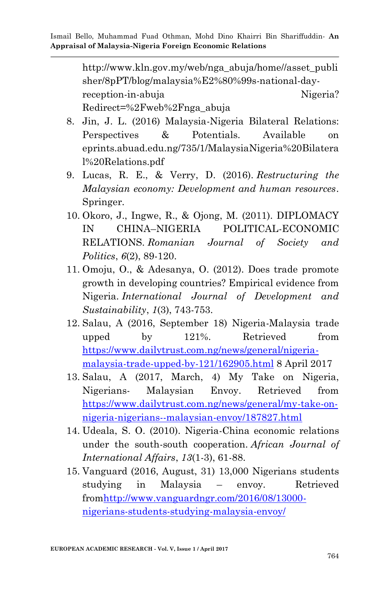http://www.kln.gov.my/web/nga\_abuja/home//asset\_publi sher/8pPT/blog/malaysia%E2%80%99s-national-dayreception-in-abuja Nigeria? Redirect=%2Fweb%2Fnga\_abuja

- 8. Jin, J. L. (2016) Malaysia-Nigeria Bilateral Relations: Perspectives & Potentials. Available on eprints.abuad.edu.ng/735/1/MalaysiaNigeria%20Bilatera l%20Relations.pdf
- 9. Lucas, R. E., & Verry, D. (2016). *Restructuring the Malaysian economy: Development and human resources*. Springer.
- 10. Okoro, J., Ingwe, R., & Ojong, M. (2011). DIPLOMACY IN CHINA–NIGERIA POLITICAL-ECONOMIC RELATIONS. *Romanian Journal of Society and Politics*, *6*(2), 89-120.
- 11. Omoju, O., & Adesanya, O. (2012). Does trade promote growth in developing countries? Empirical evidence from Nigeria. *International Journal of Development and Sustainability*, *1*(3), 743-753.
- 12. Salau, A (2016, September 18) Nigeria-Malaysia trade upped by 121%. Retrieved from [https://www.dailytrust.com.ng/news/general/nigeria](https://www.dailytrust.com.ng/news/general/nigeria-malaysia-trade-upped-by-121/162905.html)[malaysia-trade-upped-by-121/162905.html](https://www.dailytrust.com.ng/news/general/nigeria-malaysia-trade-upped-by-121/162905.html) 8 April 2017
- 13. Salau, A (2017, March, 4) My Take on Nigeria, Nigerians- Malaysian Envoy. Retrieved from [https://www.dailytrust.com.ng/news/general/my-take-on](https://www.dailytrust.com.ng/news/general/my-take-on-nigeria-nigerians--malaysian-envoy/187827.html)[nigeria-nigerians--malaysian-envoy/187827.html](https://www.dailytrust.com.ng/news/general/my-take-on-nigeria-nigerians--malaysian-envoy/187827.html)
- 14. Udeala, S. O. (2010). Nigeria-China economic relations under the south-south cooperation. *African Journal of International Affairs*, *13*(1-3), 61-88.
- 15. Vanguard (2016, August, 31) 13,000 Nigerians students studying in Malaysia – envoy. Retrieved fro[mhttp://www.vanguardngr.com/2016/08/13000](http://www.vanguardngr.com/2016/08/13000-nigerians-students-studying-malaysia-envoy/) [nigerians-students-studying-malaysia-envoy/](http://www.vanguardngr.com/2016/08/13000-nigerians-students-studying-malaysia-envoy/)